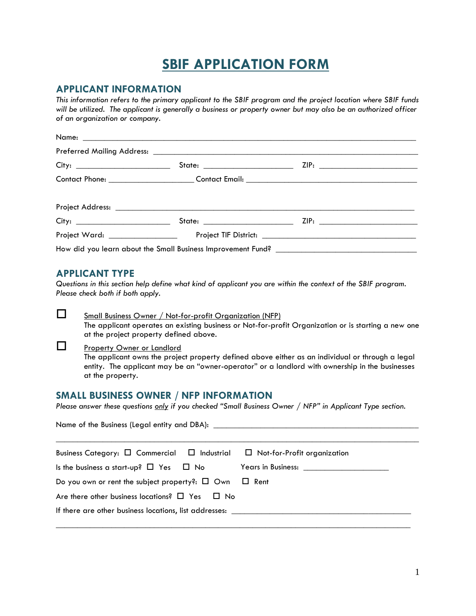# **SBIF APPLICATION FORM**

### **APPLICANT INFORMATION**

*This information refers to the primary applicant to the SBIF program and the project location where SBIF funds will be utilized. The applicant is generally a business or property owner but may also be an authorized officer of an organization or company.* 

### **APPLICANT TYPE**

*Questions in this section help define what kind of applicant you are within the context of the SBIF program. Please check both if both apply.*

#### Small Business Owner / Not-for-profit Organization (NFP)

The applicant operates an existing business or Not-for-profit Organization or is starting a new one at the project property defined above.

#### Property Owner or Landlord

Name of the Business (Legal entity and DBA):

The applicant owns the project property defined above either as an individual or through a legal entity. The applicant may be an "owner-operator" or a landlord with ownership in the businesses at the property.

## **SMALL BUSINESS OWNER / NFP INFORMATION**

*Please answer these questions only if you checked "Small Business Owner / NFP" in Applicant Type section.* 

| Business Category: $\Box$ Commercial $\Box$ Industrial $\Box$ Not-for-Profit organization |                                                  |
|-------------------------------------------------------------------------------------------|--------------------------------------------------|
| Is the business a start-up? $\Box$ Yes $\Box$ No                                          | Years in Business: <u>______________________</u> |
| Do you own or rent the subject property?: $\Box$ Own $\Box$ Rent                          |                                                  |
| Are there other business locations? $\Box$ Yes $\Box$ No                                  |                                                  |
| If there are other business locations, list addresses:                                    |                                                  |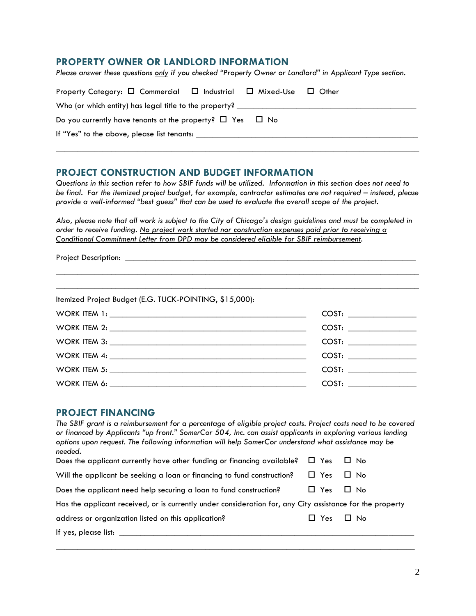#### **PROPERTY OWNER OR LANDLORD INFORMATION**

*Please answer these questions only if you checked "Property Owner or Landlord" in Applicant Type section.* 

| Property Category: $\Box$ Commercial $\Box$ Industrial $\Box$ Mixed-Use $\Box$ Other |  |  |  |  |  |
|--------------------------------------------------------------------------------------|--|--|--|--|--|
| Who (or which entity) has legal title to the property? _________________________     |  |  |  |  |  |
| Do you currently have tenants at the property? $\Box$ Yes $\Box$ No                  |  |  |  |  |  |
| If "Yes" to the above, please list tenants:                                          |  |  |  |  |  |
|                                                                                      |  |  |  |  |  |

## **PROJECT CONSTRUCTION AND BUDGET INFORMATION**

*Questions in this section refer to how SBIF funds will be utilized. Information in this section does not need to be final. For the itemized project budget, for example, contractor estimates are not required – instead, please provide a well-informed "best guess" that can be used to evaluate the overall scope of the project.* 

*Also, please note that all work is subject to the City of Chicago's design guidelines and must be completed in order to receive funding. No project work started nor construction expenses paid prior to receiving a Conditional Commitment Letter from DPD may be considered eligible for SBIF reimbursement.*

\_\_\_\_\_\_\_\_\_\_\_\_\_\_\_\_\_\_\_\_\_\_\_\_\_\_\_\_\_\_\_\_\_\_\_\_\_\_\_\_\_\_\_\_\_\_\_\_\_\_\_\_\_\_\_\_\_\_\_\_\_\_\_\_\_\_\_\_\_\_\_\_\_\_\_\_\_\_\_\_\_\_\_\_\_

| <b>Project Description:</b> |  |
|-----------------------------|--|
|                             |  |

| Itemized Project Budget (E.G. TUCK-POINTING, \$15,000): |  |
|---------------------------------------------------------|--|
|                                                         |  |
|                                                         |  |
|                                                         |  |
|                                                         |  |
|                                                         |  |
|                                                         |  |

#### **PROJECT FINANCING**

| The SBIF grant is a reimbursement for a percentage of eligible project costs. Project costs need to be covered<br>or financed by Applicants "up front." SomerCor 504, Inc. can assist applicants in exploring various lending<br>options upon request. The following information will help SomerCor understand what assistance may be |            |           |  |
|---------------------------------------------------------------------------------------------------------------------------------------------------------------------------------------------------------------------------------------------------------------------------------------------------------------------------------------|------------|-----------|--|
| needed.                                                                                                                                                                                                                                                                                                                               |            |           |  |
| Does the applicant currently have other funding or financing available?                                                                                                                                                                                                                                                               | $\Box$ Yes | LI No     |  |
| Will the applicant be seeking a loan or financing to fund construction?                                                                                                                                                                                                                                                               | $\Box$ Yes | $\Box$ No |  |
| Does the applicant need help securing a loan to fund construction?                                                                                                                                                                                                                                                                    | $\Box$ Yes | $\Box$ No |  |
| Has the applicant received, or is currently under consideration for, any City assistance for the property                                                                                                                                                                                                                             |            |           |  |
| address or organization listed on this application?                                                                                                                                                                                                                                                                                   | $\Box$ Yes | $\Box$ No |  |
| If yes, please list:                                                                                                                                                                                                                                                                                                                  |            |           |  |
|                                                                                                                                                                                                                                                                                                                                       |            |           |  |